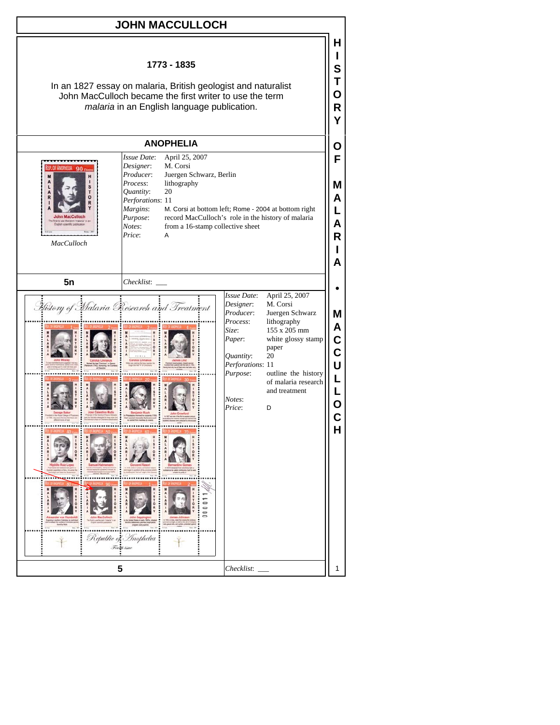